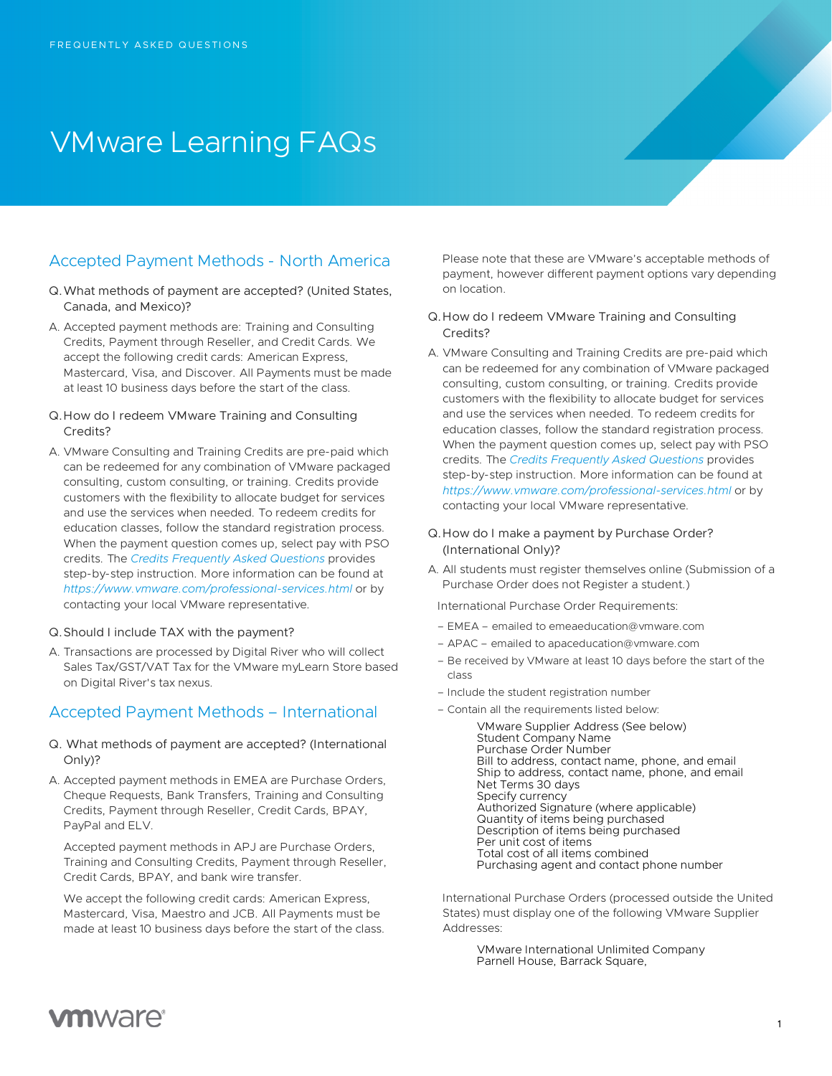# VMware Learning FAQs

# Accepted Payment Methods - North America

- Q.What methods of payment are accepted? (United States, Canada, and Mexico)?
- A. Accepted payment methods are: Training and Consulting Credits, Payment through Reseller, and Credit Cards. We accept the following credit cards: American Express, Mastercard, Visa, and Discover. All Payments must be made at least 10 business days before the start of the class.
- Q.How do I redeem VMware Training and Consulting Credits?
- A. VMware Consulting and Training Credits are pre-paid which can be redeemed for any combination of VMware packaged consulting, custom consulting, or training. Credits provide customers with the flexibility to allocate budget for services and use the services when needed. To redeem credits for education classes, follow the standard registration process. When the payment question comes up, select pay with PSO credits. The *[Credits Frequently Asked Questions](https://mylearn.vmware.com/lcms/mL_faq/7749/VMware-Consulting-and-Training-Credits-FAQ.pdf)* provides step-by-step instruction. More information can be found at *<https://www.vmware.com/professional-services.html>* or by contacting your local VMware representative.
- Q.Should I include TAX with the payment?
- A. Transactions are processed by Digital River who will collect Sales Tax/GST/VAT Tax for the VMware myLearn Store based on Digital River's tax nexus.

# Accepted Payment Methods – International

- Q. What methods of payment are accepted? (International Only)?
- A. Accepted payment methods in EMEA are Purchase Orders, Cheque Requests, Bank Transfers, Training and Consulting Credits, Payment through Reseller, Credit Cards, BPAY, PayPal and ELV.

Accepted payment methods in APJ are Purchase Orders, Training and Consulting Credits, Payment through Reseller, Credit Cards, BPAY, and bank wire transfer.

We accept the following credit cards: American Express, Mastercard, Visa, Maestro and JCB. All Payments must be made at least 10 business days before the start of the class. Please note that these are VMware's acceptable methods of payment, however different payment options vary depending on location.

### Q.How do I redeem VMware Training and Consulting Credits?

A. VMware Consulting and Training Credits are pre-paid which can be redeemed for any combination of VMware packaged consulting, custom consulting, or training. Credits provide customers with the flexibility to allocate budget for services and use the services when needed. To redeem credits for education classes, follow the standard registration process. When the payment question comes up, select pay with PSO credits. The *[Credits Frequently Asked Questions](https://mylearn.vmware.com/lcms/mL_faq/7749/VMware-Consulting-and-Training-Credits-FAQ.pdf)* provides step-by-step instruction. More information can be found at *<https://www.vmware.com/professional-services.html>* or by contacting your local VMware representative.

## Q.How do I make a payment by Purchase Order? (International Only)?

A. All students must register themselves online (Submission of a Purchase Order does not Register a student.)

International Purchase Order Requirements:

- EMEA emailed to emeaeducation@vmware.com
- APAC emailed to apaceducation@vmware.com
- Be received by VMware at least 10 days before the start of the class
- Include the student registration number
- Contain all the requirements listed below:

VMware Supplier Address (See below) Student Company Name Purchase Order Number Bill to address, contact name, phone, and email Ship to address, contact name, phone, and email Net Terms 30 days Specify currency Authorized Signature (where applicable) Quantity of items being purchased Description of items being purchased Per unit cost of items Total cost of all items combined Purchasing agent and contact phone number

International Purchase Orders (processed outside the United States) must display one of the following VMware Supplier Addresses:

> VMware International Unlimited Company Parnell House, Barrack Square,

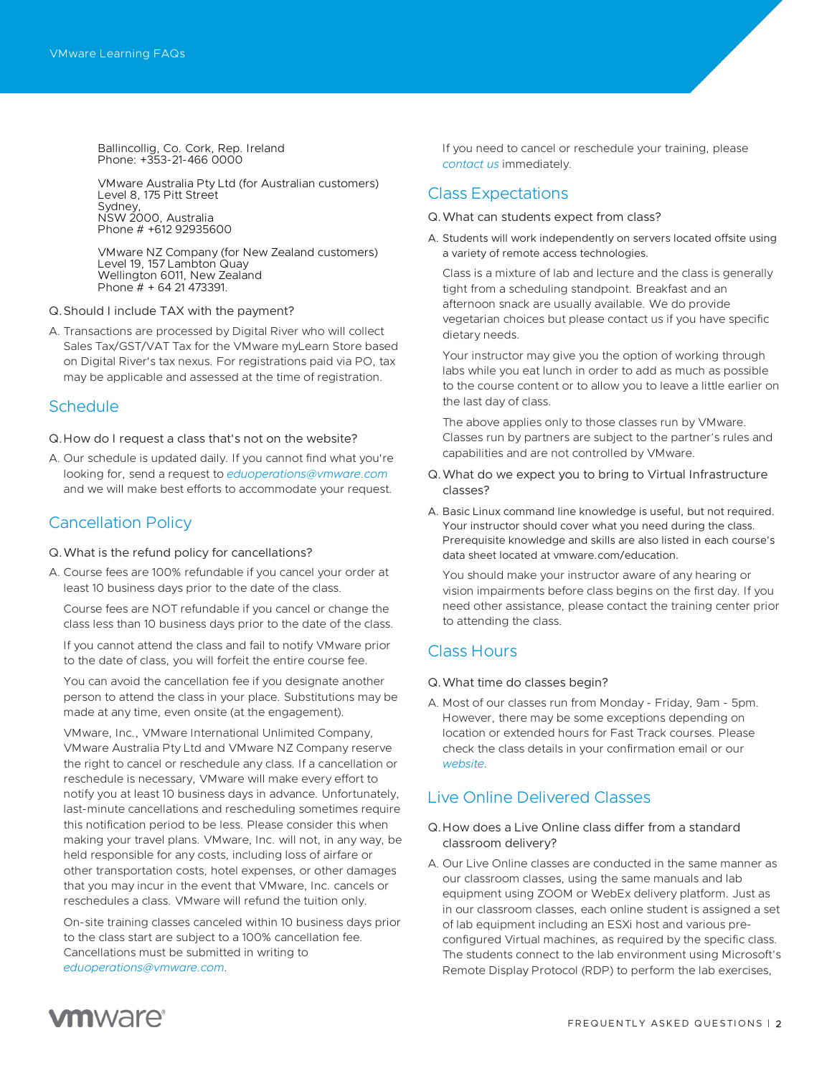Ballincollig, Co. Cork, Rep. Ireland Phone: +353-21-466 0000

VMware Australia Pty Ltd (for Australian customers) Level 8, 175 Pitt Street Sydney NSW 2000, Australia Phone # +612 92935600

VMware NZ Company (for New Zealand customers) Level 19, 157 Lambton Quay Wellington 6011, New Zealand Phone # + 64 21 473391.

- Q.Should I include TAX with the payment?
- A. Transactions are processed by Digital River who will collect Sales Tax/GST/VAT Tax for the VMware myLearn Store based on Digital River's tax nexus. For registrations paid via PO, tax may be applicable and assessed at the time of registration.

## **Schedule**

- Q.How do I request a class that's not on the website?
- A. Our schedule is updated daily. If you cannot find what you're looking for, send a request to *[eduoperations@vmware.com](mailto:eduoperations@vmware.com)* and we will make best efforts to accommodate your request.

# Cancellation Policy

- Q.What is the refund policy for cancellations?
- A. Course fees are 100% refundable if you cancel your order at least 10 business days prior to the date of the class.

Course fees are NOT refundable if you cancel or change the class less than 10 business days prior to the date of the class.

If you cannot attend the class and fail to notify VMware prior to the date of class, you will forfeit the entire course fee.

You can avoid the cancellation fee if you designate another person to attend the class in your place. Substitutions may be made at any time, even onsite (at the engagement).

VMware, Inc., VMware International Unlimited Company, VMware Australia Pty Ltd and VMware NZ Company reserve the right to cancel or reschedule any class. If a cancellation or reschedule is necessary, VMware will make every effort to notify you at least 10 business days in advance. Unfortunately, last-minute cancellations and rescheduling sometimes require this notification period to be less. Please consider this when making your travel plans. VMware, Inc. will not, in any way, be held responsible for any costs, including loss of airfare or other transportation costs, hotel expenses, or other damages that you may incur in the event that VMware, Inc. cancels or reschedules a class. VMware will refund the tuition only.

On-site training classes canceled within 10 business days prior to the class start are subject to a 100% cancellation fee. Cancellations must be submitted in writing to *[eduoperations@vmware.com](mailto:eduoperations@vmware.com)*.

If you need to cancel or reschedule your training, please *[contact us](http://mylearn.vmware.com/contact.cfm?ui=www_edu)* immediately.

# Class Expectations

#### Q.What can students expect from class?

A. Students will work independently on servers located offsite using a variety of remote access technologies.

Class is a mixture of lab and lecture and the class is generally tight from a scheduling standpoint. Breakfast and an afternoon snack are usually available. We do provide vegetarian choices but please contact us if you have specific dietary needs.

Your instructor may give you the option of working through labs while you eat lunch in order to add as much as possible to the course content or to allow you to leave a little earlier on the last day of class.

The above applies only to those classes run by VMware. Classes run by partners are subject to the partner's rules and capabilities and are not controlled by VMware.

- Q.What do we expect you to bring to Virtual Infrastructure classes?
- A. Basic Linux command line knowledge is useful, but not required. Your instructor should cover what you need during the class. Prerequisite knowledge and skills are also listed in each course's data sheet located at vmware.com/education.

You should make your instructor aware of any hearing or vision impairments before class begins on the first day. If you need other assistance, please contact the training center prior to attending the class.

## Class Hours

#### Q.What time do classes begin?

A. Most of our classes run from Monday - Friday, 9am - 5pm. However, there may be some exceptions depending on location or extended hours for Fast Track courses. Please check the class details in your confirmation email or our *[website](https://onevmw-my.sharepoint.com/personal/ahonl_vmware_com/Documents/VMwareCorp/Documents/Learning/FAQs/vmware.com/education)*.

# Live Online Delivered Classes

- Q.How does a Live Online class differ from a standard classroom delivery?
- A. Our Live Online classes are conducted in the same manner as our classroom classes, using the same manuals and lab equipment using ZOOM or WebEx delivery platform. Just as in our classroom classes, each online student is assigned a set of lab equipment including an ESXi host and various preconfigured Virtual machines, as required by the specific class. The students connect to the lab environment using Microsoft's Remote Display Protocol (RDP) to perform the lab exercises,

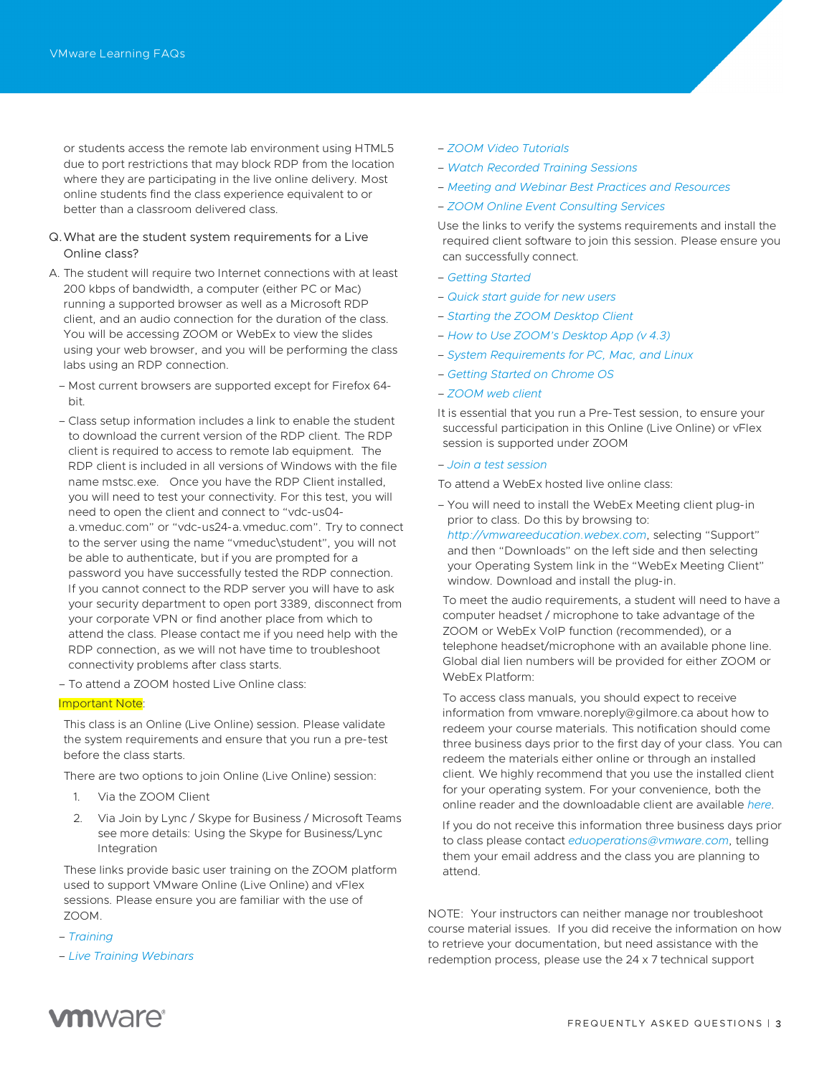or students access the remote lab environment using HTML5 due to port restrictions that may block RDP from the location where they are participating in the live online delivery. Most online students find the class experience equivalent to or better than a classroom delivered class.

- Q.What are the student system requirements for a Live Online class?
- A. The student will require two Internet connections with at least 200 kbps of bandwidth, a computer (either PC or Mac) running a supported browser as well as a Microsoft RDP client, and an audio connection for the duration of the class. You will be accessing ZOOM or WebEx to view the slides using your web browser, and you will be performing the class labs using an RDP connection.
	- Most current browsers are supported except for Firefox 64 bit.
	- Class setup information includes a link to enable the student to download the current version of the RDP client. The RDP client is required to access to remote lab equipment. The RDP client is included in all versions of Windows with the file name mstsc.exe. Once you have the RDP Client installed, you will need to test your connectivity. For this test, you will need to open the client and connect to "vdc-us04 a.vmeduc.com" or "vdc-us24-a.vmeduc.com". Try to connect to the server using the name "vmeduc\student", you will not be able to authenticate, but if you are prompted for a password you have successfully tested the RDP connection. If you cannot connect to the RDP server you will have to ask your security department to open port 3389, disconnect from your corporate VPN or find another place from which to attend the class. Please contact me if you need help with the RDP connection, as we will not have time to troubleshoot connectivity problems after class starts.
	- To attend a ZOOM hosted Live Online class:

#### Important Note:

This class is an Online (Live Online) session. Please validate the system requirements and ensure that you run a pre-test before the class starts.

There are two options to join Online (Live Online) session:

- 1. Via the ZOOM Client
- 2. Via Join by Lync / Skype for Business / Microsoft Teams see more details: Using the Skype for Business/Lync Integration

These links provide basic user training on the ZOOM platform used to support VMware Online (Live Online) and vFlex sessions. Please ensure you are familiar with the use of ZOOM.

- *[Training](https://support.zoom.us/hc/en-us/sections/201740096)*
- *[Live Training Webinars](https://support.zoom.us/hc/en-us/articles/360029527911-Live-Training-Webinars)*
- *[ZOOM Video Tutorials](https://support.zoom.us/hc/en-us/articles/206618765-Zoom-Video-Tutorials)*
- *[Watch Recorded Training Sessions](https://support.zoom.us/hc/en-us/articles/217214286-Watch-Recorded-Training-Sessions)*
- *[Meeting and Webinar Best Practices and Resources](https://support.zoom.us/hc/en-us/articles/209743263-Meeting-and-Webinar-Best-Practices-and-Resources)*
- *[ZOOM Online Event Consulting Services](https://support.zoom.us/hc/en-us/articles/207362486-Zoom-Online-Event-Consulting-Services)*

Use the links to verify the systems requirements and install the required client software to join this session. Please ensure you can successfully connect.

- *[Getting Started](https://support.zoom.us/hc/en-us/categories/200101697)*
- *[Quick start guide for new](https://support.zoom.us/hc/en-us/articles/360034967471-Quick-start-guide-for-new-users) users*
- *[Starting the ZOOM Desktop Client](https://support.zoom.us/hc/en-us/articles/360032812931-Starting-the-Zoom-Desktop-Client)*
- *[How to Use ZOOM's Desktop App \(v 4.3\)](https://support.zoom.us/hc/en-us/articles/360022265471-How-to-Use-Zoom-s-Desktop-App-v-4-3-)*
- *[System Requirements for PC, Mac, and Linux](https://support.zoom.us/hc/en-us/articles/201362023-System-Requirements-for-PC-Mac-and-Linux)*
- *[Getting Started on Chrome OS](https://support.zoom.us/hc/en-us/articles/213298746-Getting-Started-On-Chrome-OS)*
- *[ZOOM web client](https://support.zoom.us/hc/en-us/articles/214629443-Zoom-web-client)*
- It is essential that you run a Pre-Test session, to ensure your successful participation in this Online (Live Online) or vFlex session is supported under ZOOM

#### – *[Join a test session](http://zoom.us/test)*

To attend a WebEx hosted live online class:

– You will need to install the WebEx Meeting client plug-in prior to class. Do this by browsing to: *[http://vmwareeducation.webex.com](http://vmwareeducation.webex.com/)*, selecting "Support" and then "Downloads" on the left side and then selecting your Operating System link in the "WebEx Meeting Client" window. Download and install the plug-in.

To meet the audio requirements, a student will need to have a computer headset / microphone to take advantage of the ZOOM or WebEx VoIP function (recommended), or a telephone headset/microphone with an available phone line. Global dial lien numbers will be provided for either ZOOM or WebEx Platform:

To access class manuals, you should expect to receive information from vmware.noreply@gilmore.ca about how to redeem your course materials. This notification should come three business days prior to the first day of your class. You can redeem the materials either online or through an installed client. We highly recommend that you use the installed client for your operating system. For your convenience, both the online reader and the downloadable client are available *[here](https://support.evantage.ca/hc/en-us/articles/227841147-eVantage-Bookshelf-Download-Page)*.

If you do not receive this information three business days prior to class please contact *[eduoperations@vmware.com](mailto:eduoperations@vmware.com)*, telling them your email address and the class you are planning to attend.

NOTE: Your instructors can neither manage nor troubleshoot course material issues. If you did receive the information on how to retrieve your documentation, but need assistance with the redemption process, please use the 24 x 7 technical support